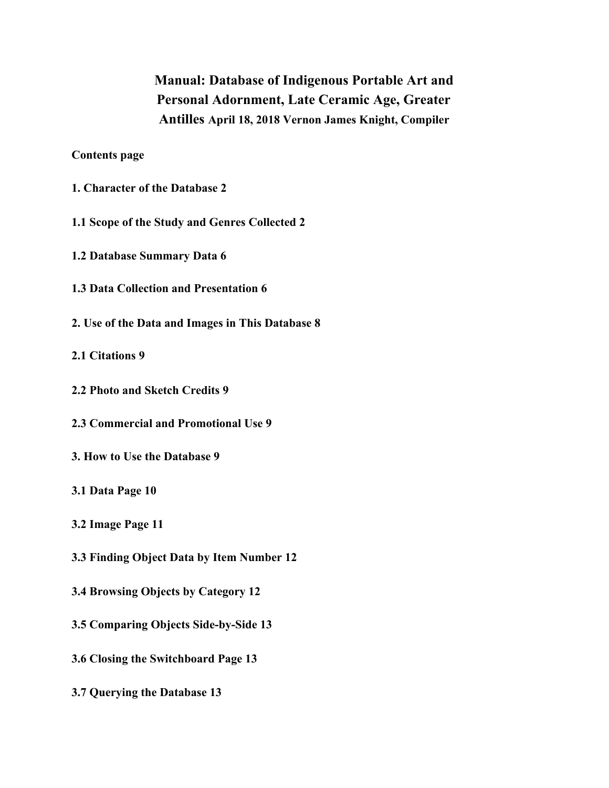**Manual: Database of Indigenous Portable Art and Personal Adornment, Late Ceramic Age, Greater Antilles April 18, 2018 Vernon James Knight, Compiler**

**Contents page**

**1. Character of the Database 2**

**1.1 Scope of the Study and Genres Collected 2**

**1.2 Database Summary Data 6**

- **1.3 Data Collection and Presentation 6**
- **2. Use of the Data and Images in This Database 8**

**2.1 Citations 9**

- **2.2 Photo and Sketch Credits 9**
- **2.3 Commercial and Promotional Use 9**
- **3. How to Use the Database 9**
- **3.1 Data Page 10**
- **3.2 Image Page 11**
- **3.3 Finding Object Data by Item Number 12**
- **3.4 Browsing Objects by Category 12**
- **3.5 Comparing Objects Side-by-Side 13**
- **3.6 Closing the Switchboard Page 13**
- **3.7 Querying the Database 13**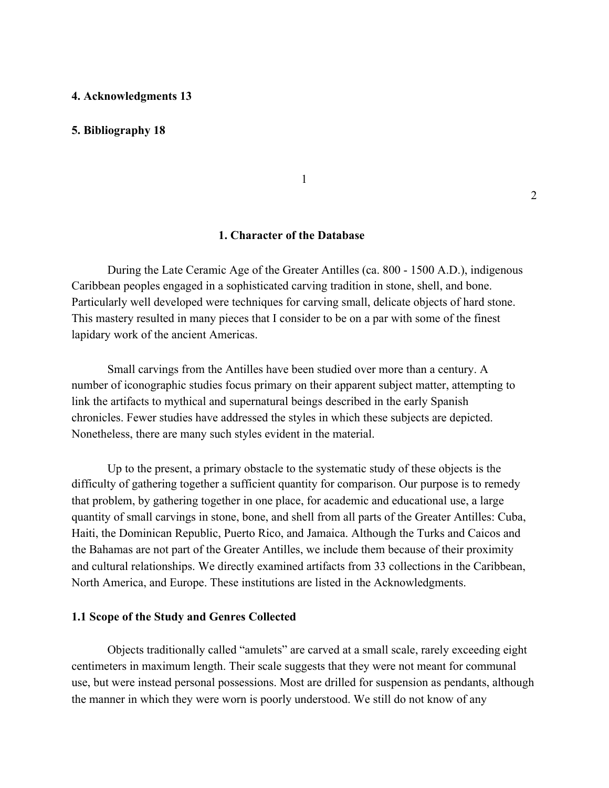#### **4. Acknowledgments 13**

#### **5. Bibliography 18**

1

# **1. Character of the Database**

During the Late Ceramic Age of the Greater Antilles (ca. 800 - 1500 A.D.), indigenous Caribbean peoples engaged in a sophisticated carving tradition in stone, shell, and bone. Particularly well developed were techniques for carving small, delicate objects of hard stone. This mastery resulted in many pieces that I consider to be on a par with some of the finest lapidary work of the ancient Americas.

Small carvings from the Antilles have been studied over more than a century. A number of iconographic studies focus primary on their apparent subject matter, attempting to link the artifacts to mythical and supernatural beings described in the early Spanish chronicles. Fewer studies have addressed the styles in which these subjects are depicted. Nonetheless, there are many such styles evident in the material.

Up to the present, a primary obstacle to the systematic study of these objects is the difficulty of gathering together a sufficient quantity for comparison. Our purpose is to remedy that problem, by gathering together in one place, for academic and educational use, a large quantity of small carvings in stone, bone, and shell from all parts of the Greater Antilles: Cuba, Haiti, the Dominican Republic, Puerto Rico, and Jamaica. Although the Turks and Caicos and the Bahamas are not part of the Greater Antilles, we include them because of their proximity and cultural relationships. We directly examined artifacts from 33 collections in the Caribbean, North America, and Europe. These institutions are listed in the Acknowledgments.

#### **1.1 Scope of the Study and Genres Collected**

Objects traditionally called "amulets" are carved at a small scale, rarely exceeding eight centimeters in maximum length. Their scale suggests that they were not meant for communal use, but were instead personal possessions. Most are drilled for suspension as pendants, although the manner in which they were worn is poorly understood. We still do not know of any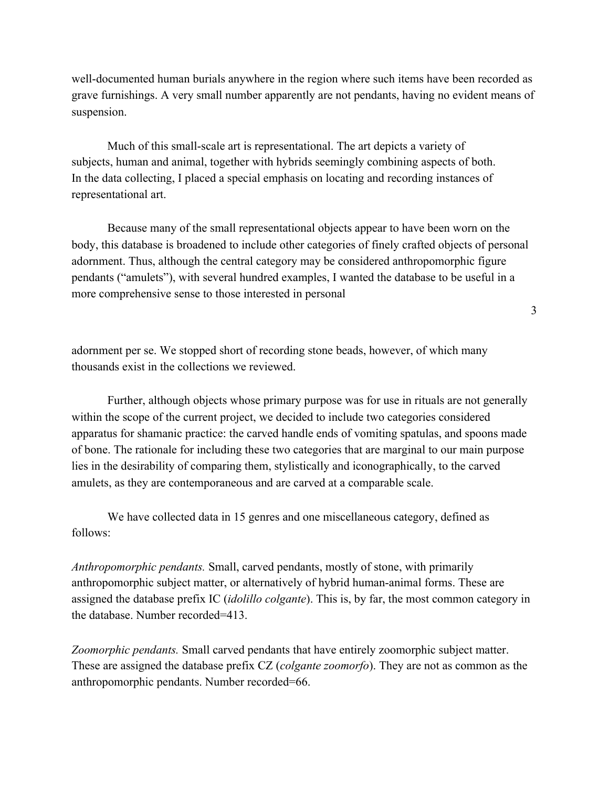well-documented human burials anywhere in the region where such items have been recorded as grave furnishings. A very small number apparently are not pendants, having no evident means of suspension.

Much of this small-scale art is representational. The art depicts a variety of subjects, human and animal, together with hybrids seemingly combining aspects of both. In the data collecting, I placed a special emphasis on locating and recording instances of representational art.

Because many of the small representational objects appear to have been worn on the body, this database is broadened to include other categories of finely crafted objects of personal adornment. Thus, although the central category may be considered anthropomorphic figure pendants ("amulets"), with several hundred examples, I wanted the database to be useful in a more comprehensive sense to those interested in personal

adornment per se. We stopped short of recording stone beads, however, of which many thousands exist in the collections we reviewed.

Further, although objects whose primary purpose was for use in rituals are not generally within the scope of the current project, we decided to include two categories considered apparatus for shamanic practice: the carved handle ends of vomiting spatulas, and spoons made of bone. The rationale for including these two categories that are marginal to our main purpose lies in the desirability of comparing them, stylistically and iconographically, to the carved amulets, as they are contemporaneous and are carved at a comparable scale.

We have collected data in 15 genres and one miscellaneous category, defined as follows:

*Anthropomorphic pendants.* Small, carved pendants, mostly of stone, with primarily anthropomorphic subject matter, or alternatively of hybrid human-animal forms. These are assigned the database prefix IC (*idolillo colgante*). This is, by far, the most common category in the database. Number recorded=413.

*Zoomorphic pendants.* Small carved pendants that have entirely zoomorphic subject matter. These are assigned the database prefix CZ (*colgante zoomorfo*). They are not as common as the anthropomorphic pendants. Number recorded=66.

3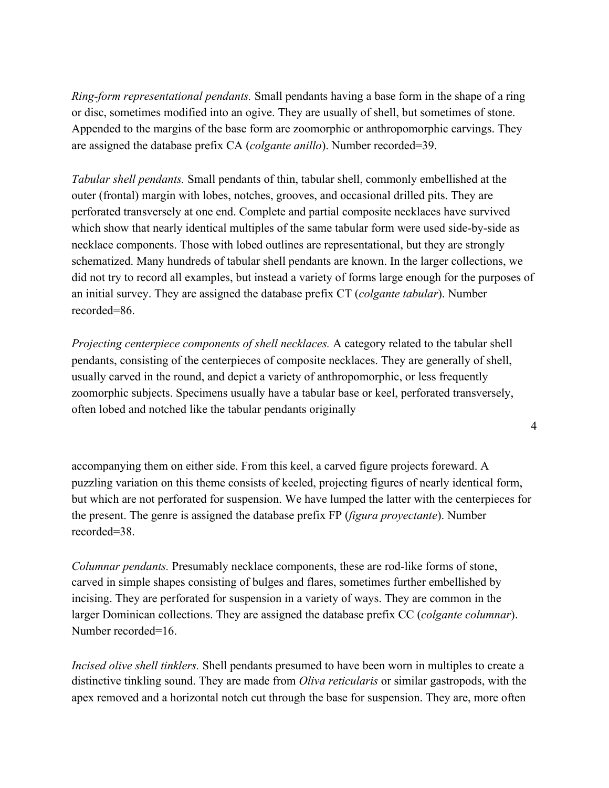*Ring-form representational pendants.* Small pendants having a base form in the shape of a ring or disc, sometimes modified into an ogive. They are usually of shell, but sometimes of stone. Appended to the margins of the base form are zoomorphic or anthropomorphic carvings. They are assigned the database prefix CA (*colgante anillo*). Number recorded=39.

*Tabular shell pendants.* Small pendants of thin, tabular shell, commonly embellished at the outer (frontal) margin with lobes, notches, grooves, and occasional drilled pits. They are perforated transversely at one end. Complete and partial composite necklaces have survived which show that nearly identical multiples of the same tabular form were used side-by-side as necklace components. Those with lobed outlines are representational, but they are strongly schematized. Many hundreds of tabular shell pendants are known. In the larger collections, we did not try to record all examples, but instead a variety of forms large enough for the purposes of an initial survey. They are assigned the database prefix CT (*colgante tabular*). Number recorded=86.

*Projecting centerpiece components of shell necklaces.* A category related to the tabular shell pendants, consisting of the centerpieces of composite necklaces. They are generally of shell, usually carved in the round, and depict a variety of anthropomorphic, or less frequently zoomorphic subjects. Specimens usually have a tabular base or keel, perforated transversely, often lobed and notched like the tabular pendants originally

4

accompanying them on either side. From this keel, a carved figure projects foreward. A puzzling variation on this theme consists of keeled, projecting figures of nearly identical form, but which are not perforated for suspension. We have lumped the latter with the centerpieces for the present. The genre is assigned the database prefix FP (*figura proyectante*). Number recorded=38.

*Columnar pendants.* Presumably necklace components, these are rod-like forms of stone, carved in simple shapes consisting of bulges and flares, sometimes further embellished by incising. They are perforated for suspension in a variety of ways. They are common in the larger Dominican collections. They are assigned the database prefix CC (*colgante columnar*). Number recorded=16.

*Incised olive shell tinklers.* Shell pendants presumed to have been worn in multiples to create a distinctive tinkling sound. They are made from *Oliva reticularis* or similar gastropods, with the apex removed and a horizontal notch cut through the base for suspension. They are, more often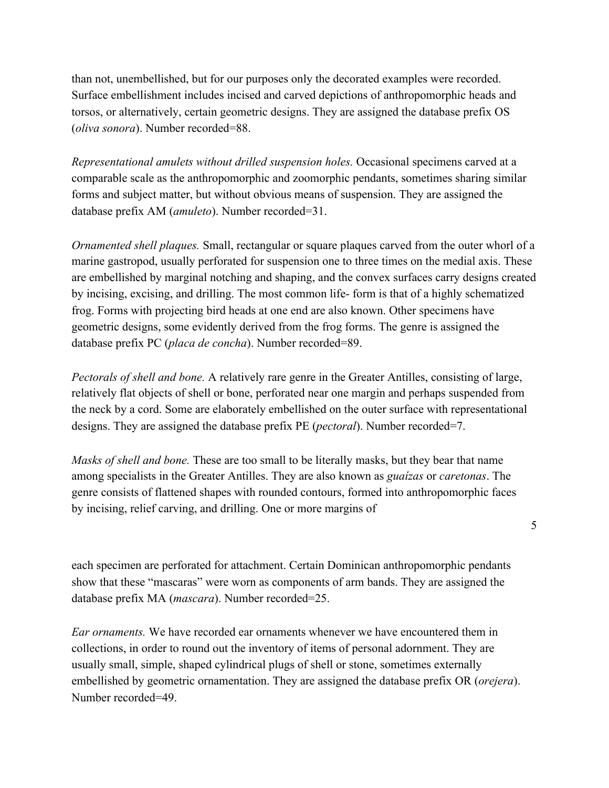than not, unembellished, but for our purposes only the decorated examples were recorded. Surface embellishment includes incised and carved depictions of anthropomorphic heads and torsos, or alternatively, certain geometric designs. They are assigned the database prefix OS (*oliva sonora*). Number recorded=88.

*Representational amulets without drilled suspension holes.* Occasional specimens carved at a comparable scale as the anthropomorphic and zoomorphic pendants, sometimes sharing similar forms and subject matter, but without obvious means of suspension. They are assigned the database prefix AM (*amuleto*). Number recorded=31.

*Ornamented shell plaques.* Small, rectangular or square plaques carved from the outer whorl of a marine gastropod, usually perforated for suspension one to three times on the medial axis. These are embellished by marginal notching and shaping, and the convex surfaces carry designs created by incising, excising, and drilling. The most common life- form is that of a highly schematized frog. Forms with projecting bird heads at one end are also known. Other specimens have geometric designs, some evidently derived from the frog forms. The genre is assigned the database prefix PC (*placa de concha*). Number recorded=89.

*Pectorals of shell and bone.* A relatively rare genre in the Greater Antilles, consisting of large, relatively flat objects of shell or bone, perforated near one margin and perhaps suspended from the neck by a cord. Some are elaborately embellished on the outer surface with representational designs. They are assigned the database prefix PE (*pectoral*). Number recorded=7.

*Masks of shell and bone.* These are too small to be literally masks, but they bear that name among specialists in the Greater Antilles. They are also known as *guaízas* or *caretonas*. The genre consists of flattened shapes with rounded contours, formed into anthropomorphic faces by incising, relief carving, and drilling. One or more margins of

5

each specimen are perforated for attachment. Certain Dominican anthropomorphic pendants show that these "mascaras" were worn as components of arm bands. They are assigned the database prefix MA (*mascara*). Number recorded=25.

*Ear ornaments.* We have recorded ear ornaments whenever we have encountered them in collections, in order to round out the inventory of items of personal adornment. They are usually small, simple, shaped cylindrical plugs of shell or stone, sometimes externally embellished by geometric ornamentation. They are assigned the database prefix OR (*orejera*). Number recorded=49.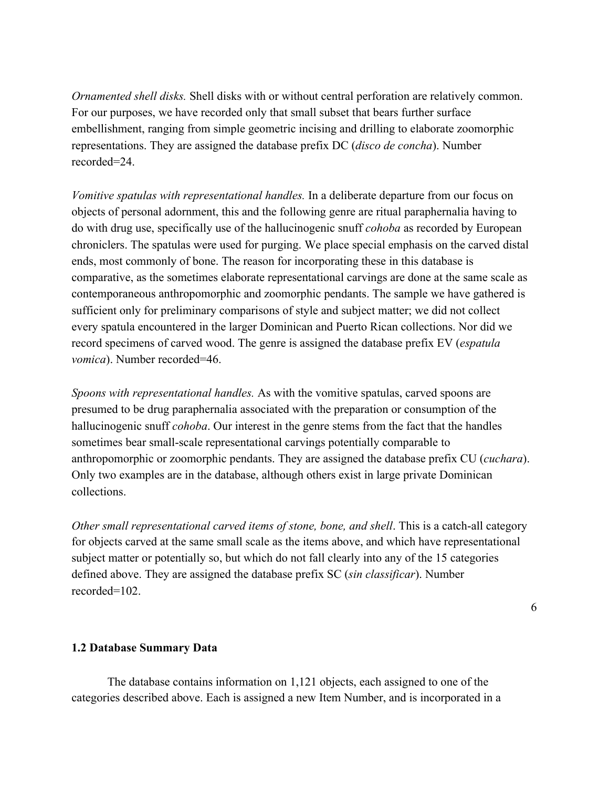*Ornamented shell disks.* Shell disks with or without central perforation are relatively common. For our purposes, we have recorded only that small subset that bears further surface embellishment, ranging from simple geometric incising and drilling to elaborate zoomorphic representations. They are assigned the database prefix DC (*disco de concha*). Number recorded=24.

*Vomitive spatulas with representational handles.* In a deliberate departure from our focus on objects of personal adornment, this and the following genre are ritual paraphernalia having to do with drug use, specifically use of the hallucinogenic snuff *cohoba* as recorded by European chroniclers. The spatulas were used for purging. We place special emphasis on the carved distal ends, most commonly of bone. The reason for incorporating these in this database is comparative, as the sometimes elaborate representational carvings are done at the same scale as contemporaneous anthropomorphic and zoomorphic pendants. The sample we have gathered is sufficient only for preliminary comparisons of style and subject matter; we did not collect every spatula encountered in the larger Dominican and Puerto Rican collections. Nor did we record specimens of carved wood. The genre is assigned the database prefix EV (*espatula vomica*). Number recorded=46.

*Spoons with representational handles.* As with the vomitive spatulas, carved spoons are presumed to be drug paraphernalia associated with the preparation or consumption of the hallucinogenic snuff *cohoba*. Our interest in the genre stems from the fact that the handles sometimes bear small-scale representational carvings potentially comparable to anthropomorphic or zoomorphic pendants. They are assigned the database prefix CU (*cuchara*). Only two examples are in the database, although others exist in large private Dominican collections.

*Other small representational carved items of stone, bone, and shell. This is a catch-all category* for objects carved at the same small scale as the items above, and which have representational subject matter or potentially so, but which do not fall clearly into any of the 15 categories defined above. They are assigned the database prefix SC (*sin classificar*). Number recorded=102.

6

# **1.2 Database Summary Data**

The database contains information on 1,121 objects, each assigned to one of the categories described above. Each is assigned a new Item Number, and is incorporated in a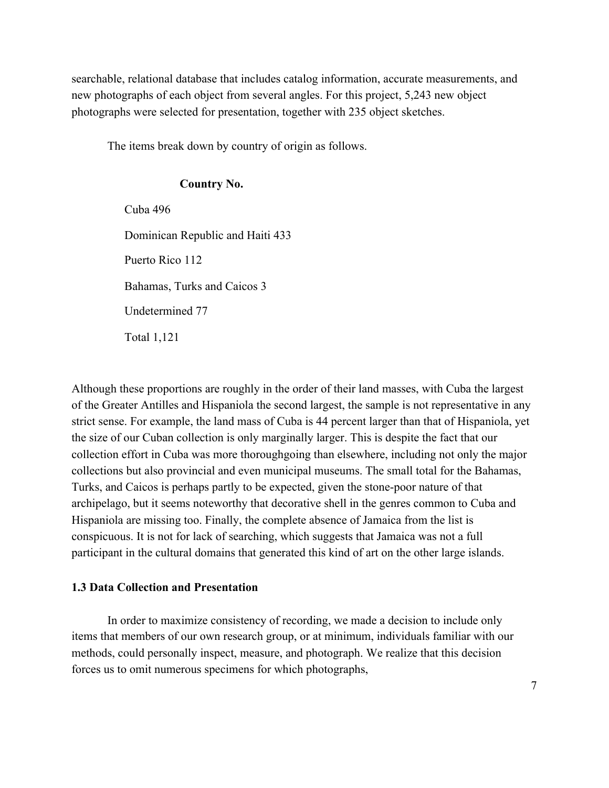searchable, relational database that includes catalog information, accurate measurements, and new photographs of each object from several angles. For this project, 5,243 new object photographs were selected for presentation, together with 235 object sketches.

The items break down by country of origin as follows.

# **Country No.**

Cuba 496 Dominican Republic and Haiti 433 Puerto Rico 112 Bahamas, Turks and Caicos 3 Undetermined 77 Total 1,121

Although these proportions are roughly in the order of their land masses, with Cuba the largest of the Greater Antilles and Hispaniola the second largest, the sample is not representative in any strict sense. For example, the land mass of Cuba is 44 percent larger than that of Hispaniola, yet the size of our Cuban collection is only marginally larger. This is despite the fact that our collection effort in Cuba was more thoroughgoing than elsewhere, including not only the major collections but also provincial and even municipal museums. The small total for the Bahamas, Turks, and Caicos is perhaps partly to be expected, given the stone-poor nature of that archipelago, but it seems noteworthy that decorative shell in the genres common to Cuba and Hispaniola are missing too. Finally, the complete absence of Jamaica from the list is conspicuous. It is not for lack of searching, which suggests that Jamaica was not a full participant in the cultural domains that generated this kind of art on the other large islands.

# **1.3 Data Collection and Presentation**

In order to maximize consistency of recording, we made a decision to include only items that members of our own research group, or at minimum, individuals familiar with our methods, could personally inspect, measure, and photograph. We realize that this decision forces us to omit numerous specimens for which photographs,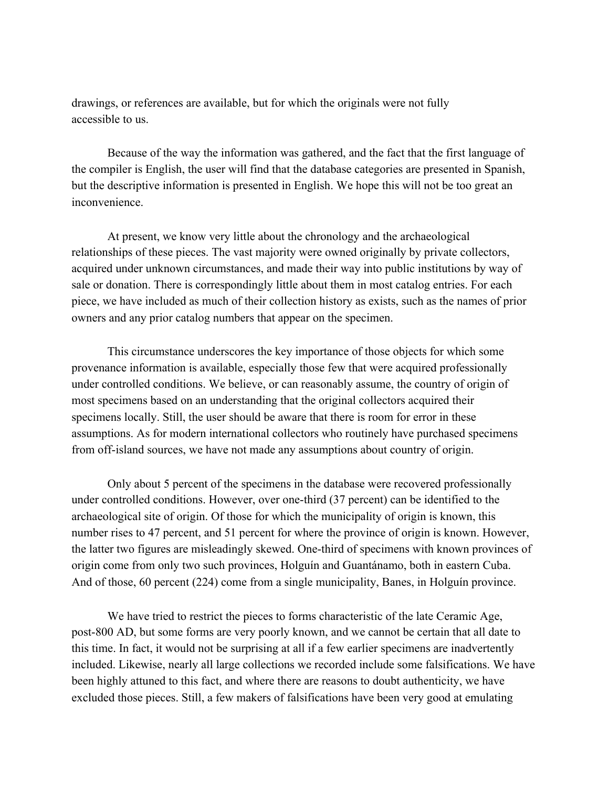drawings, or references are available, but for which the originals were not fully accessible to us.

Because of the way the information was gathered, and the fact that the first language of the compiler is English, the user will find that the database categories are presented in Spanish, but the descriptive information is presented in English. We hope this will not be too great an inconvenience.

At present, we know very little about the chronology and the archaeological relationships of these pieces. The vast majority were owned originally by private collectors, acquired under unknown circumstances, and made their way into public institutions by way of sale or donation. There is correspondingly little about them in most catalog entries. For each piece, we have included as much of their collection history as exists, such as the names of prior owners and any prior catalog numbers that appear on the specimen.

This circumstance underscores the key importance of those objects for which some provenance information is available, especially those few that were acquired professionally under controlled conditions. We believe, or can reasonably assume, the country of origin of most specimens based on an understanding that the original collectors acquired their specimens locally. Still, the user should be aware that there is room for error in these assumptions. As for modern international collectors who routinely have purchased specimens from off-island sources, we have not made any assumptions about country of origin.

Only about 5 percent of the specimens in the database were recovered professionally under controlled conditions. However, over one-third (37 percent) can be identified to the archaeological site of origin. Of those for which the municipality of origin is known, this number rises to 47 percent, and 51 percent for where the province of origin is known. However, the latter two figures are misleadingly skewed. One-third of specimens with known provinces of origin come from only two such provinces, Holguín and Guantánamo, both in eastern Cuba. And of those, 60 percent (224) come from a single municipality, Banes, in Holguín province.

We have tried to restrict the pieces to forms characteristic of the late Ceramic Age, post-800 AD, but some forms are very poorly known, and we cannot be certain that all date to this time. In fact, it would not be surprising at all if a few earlier specimens are inadvertently included. Likewise, nearly all large collections we recorded include some falsifications. We have been highly attuned to this fact, and where there are reasons to doubt authenticity, we have excluded those pieces. Still, a few makers of falsifications have been very good at emulating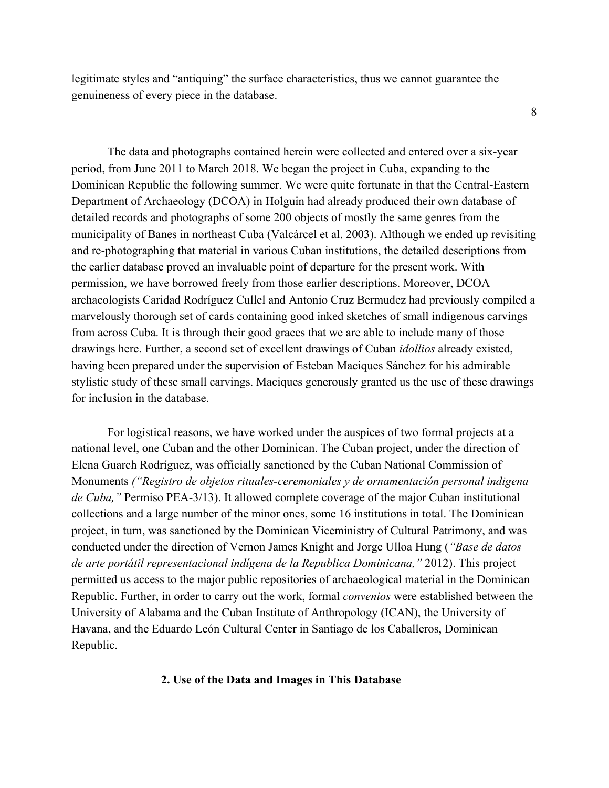legitimate styles and "antiquing" the surface characteristics, thus we cannot guarantee the genuineness of every piece in the database.

8

The data and photographs contained herein were collected and entered over a six-year period, from June 2011 to March 2018. We began the project in Cuba, expanding to the Dominican Republic the following summer. We were quite fortunate in that the Central-Eastern Department of Archaeology (DCOA) in Holguin had already produced their own database of detailed records and photographs of some 200 objects of mostly the same genres from the municipality of Banes in northeast Cuba (Valcárcel et al. 2003). Although we ended up revisiting and re-photographing that material in various Cuban institutions, the detailed descriptions from the earlier database proved an invaluable point of departure for the present work. With permission, we have borrowed freely from those earlier descriptions. Moreover, DCOA archaeologists Caridad Rodríguez Cullel and Antonio Cruz Bermudez had previously compiled a marvelously thorough set of cards containing good inked sketches of small indigenous carvings from across Cuba. It is through their good graces that we are able to include many of those drawings here. Further, a second set of excellent drawings of Cuban *idollios* already existed, having been prepared under the supervision of Esteban Maciques Sánchez for his admirable stylistic study of these small carvings. Maciques generously granted us the use of these drawings for inclusion in the database.

For logistical reasons, we have worked under the auspices of two formal projects at a national level, one Cuban and the other Dominican. The Cuban project, under the direction of Elena Guarch Rodríguez, was officially sanctioned by the Cuban National Commission of Monuments *("Registro de objetos rituales-ceremoniales y de ornamentación personal indigena de Cuba,"* Permiso PEA-3/13). It allowed complete coverage of the major Cuban institutional collections and a large number of the minor ones, some 16 institutions in total. The Dominican project, in turn, was sanctioned by the Dominican Viceministry of Cultural Patrimony, and was conducted under the direction of Vernon James Knight and Jorge Ulloa Hung (*"Base de datos de arte portátil representacional indígena de la Republica Dominicana,"* 2012). This project permitted us access to the major public repositories of archaeological material in the Dominican Republic. Further, in order to carry out the work, formal *convenios* were established between the University of Alabama and the Cuban Institute of Anthropology (ICAN), the University of Havana, and the Eduardo León Cultural Center in Santiago de los Caballeros, Dominican Republic.

#### **2. Use of the Data and Images in This Database**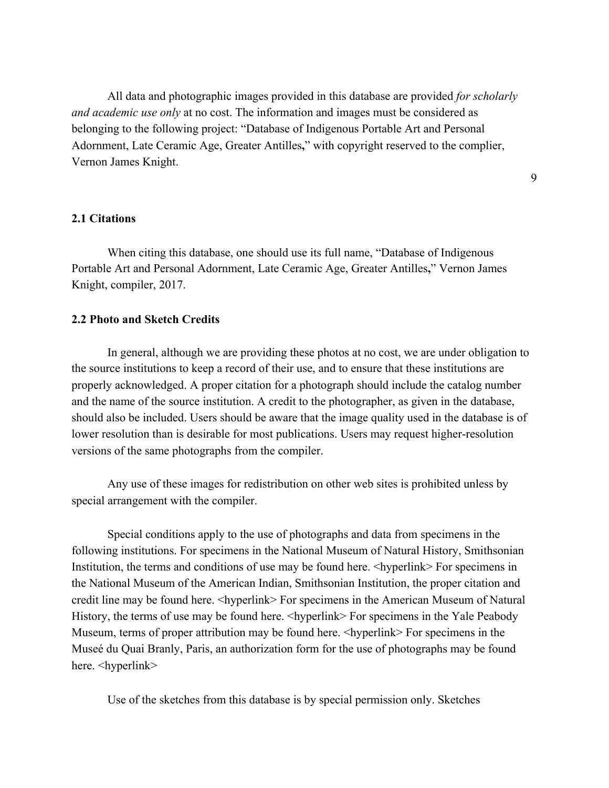All data and photographic images provided in this database are provided *for scholarly and academic use only* at no cost. The information and images must be considered as belonging to the following project: "Database of Indigenous Portable Art and Personal Adornment, Late Ceramic Age, Greater Antilles**,**" with copyright reserved to the complier, Vernon James Knight.

9

# **2.1 Citations**

When citing this database, one should use its full name, "Database of Indigenous Portable Art and Personal Adornment, Late Ceramic Age, Greater Antilles**,**" Vernon James Knight, compiler, 2017.

#### **2.2 Photo and Sketch Credits**

In general, although we are providing these photos at no cost, we are under obligation to the source institutions to keep a record of their use, and to ensure that these institutions are properly acknowledged. A proper citation for a photograph should include the catalog number and the name of the source institution. A credit to the photographer, as given in the database, should also be included. Users should be aware that the image quality used in the database is of lower resolution than is desirable for most publications. Users may request higher-resolution versions of the same photographs from the compiler.

Any use of these images for redistribution on other web sites is prohibited unless by special arrangement with the compiler.

Special conditions apply to the use of photographs and data from specimens in the following institutions. For specimens in the National Museum of Natural History, Smithsonian Institution, the terms and conditions of use may be found here.  $\langle$ hyperlink $\rangle$  For specimens in the National Museum of the American Indian, Smithsonian Institution, the proper citation and credit line may be found here. <hyperlink> For specimens in the American Museum of Natural History, the terms of use may be found here.  $\langle$ hyperlink> For specimens in the Yale Peabody Museum, terms of proper attribution may be found here.  $\langle$ hyperlink> For specimens in the Museé du Quai Branly, Paris, an authorization form for the use of photographs may be found here. <hyperlink>

Use of the sketches from this database is by special permission only. Sketches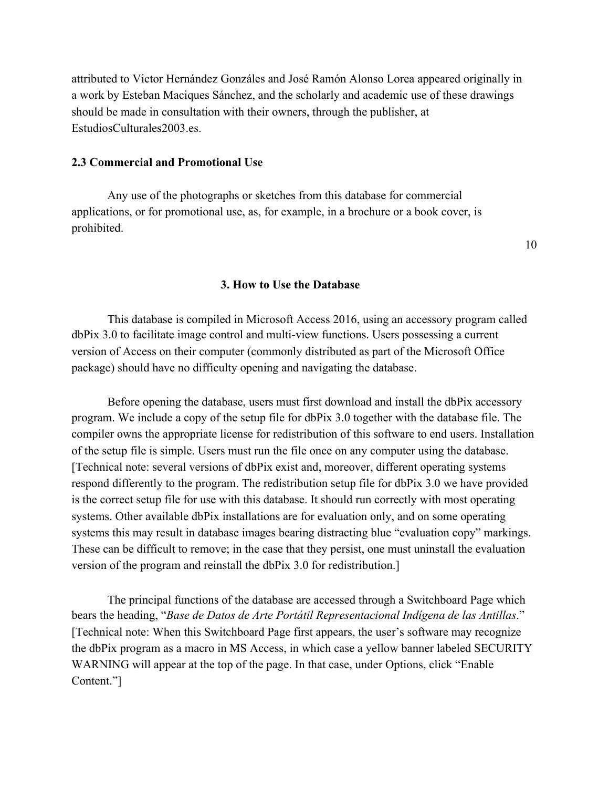attributed to Victor Hernández Gonzáles and José Ramón Alonso Lorea appeared originally in a work by Esteban Maciques Sánchez, and the scholarly and academic use of these drawings should be made in consultation with their owners, through the publisher, at EstudiosCulturales2003.es.

#### **2.3 Commercial and Promotional Use**

Any use of the photographs or sketches from this database for commercial applications, or for promotional use, as, for example, in a brochure or a book cover, is prohibited.

10

### **3. How to Use the Database**

This database is compiled in Microsoft Access 2016, using an accessory program called dbPix 3.0 to facilitate image control and multi-view functions. Users possessing a current version of Access on their computer (commonly distributed as part of the Microsoft Office package) should have no difficulty opening and navigating the database.

Before opening the database, users must first download and install the dbPix accessory program. We include a copy of the setup file for dbPix 3.0 together with the database file. The compiler owns the appropriate license for redistribution of this software to end users. Installation of the setup file is simple. Users must run the file once on any computer using the database. [Technical note: several versions of dbPix exist and, moreover, different operating systems respond differently to the program. The redistribution setup file for dbPix 3.0 we have provided is the correct setup file for use with this database. It should run correctly with most operating systems. Other available dbPix installations are for evaluation only, and on some operating systems this may result in database images bearing distracting blue "evaluation copy" markings. These can be difficult to remove; in the case that they persist, one must uninstall the evaluation version of the program and reinstall the dbPix 3.0 for redistribution.]

The principal functions of the database are accessed through a Switchboard Page which bears the heading, "*Base de Datos de Arte Portátil Representacional Indígena de las Antillas*." [Technical note: When this Switchboard Page first appears, the user's software may recognize the dbPix program as a macro in MS Access, in which case a yellow banner labeled SECURITY WARNING will appear at the top of the page. In that case, under Options, click "Enable Content."]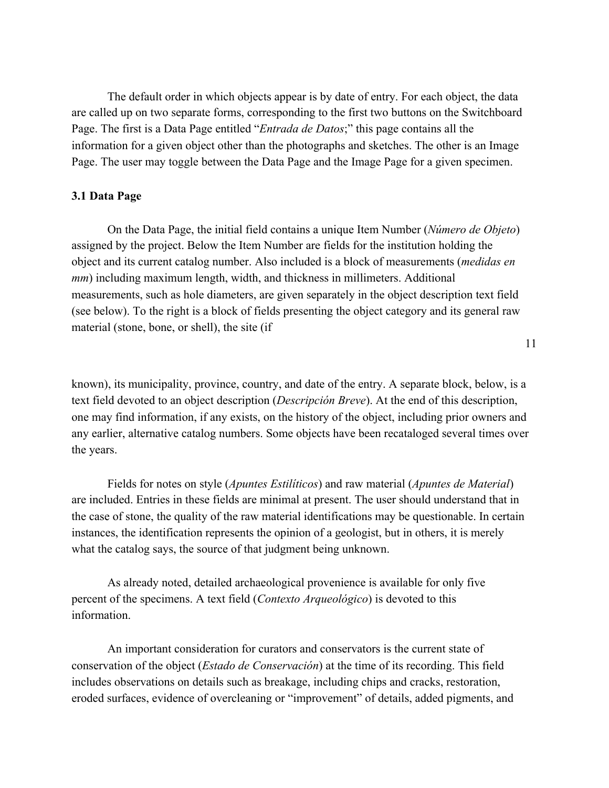The default order in which objects appear is by date of entry. For each object, the data are called up on two separate forms, corresponding to the first two buttons on the Switchboard Page. The first is a Data Page entitled "*Entrada de Datos*;" this page contains all the information for a given object other than the photographs and sketches. The other is an Image Page. The user may toggle between the Data Page and the Image Page for a given specimen.

### **3.1 Data Page**

On the Data Page, the initial field contains a unique Item Number (*Número de Objeto*) assigned by the project. Below the Item Number are fields for the institution holding the object and its current catalog number. Also included is a block of measurements (*medidas en mm*) including maximum length, width, and thickness in millimeters. Additional measurements, such as hole diameters, are given separately in the object description text field (see below). To the right is a block of fields presenting the object category and its general raw material (stone, bone, or shell), the site (if

11

known), its municipality, province, country, and date of the entry. A separate block, below, is a text field devoted to an object description (*Descripción Breve*). At the end of this description, one may find information, if any exists, on the history of the object, including prior owners and any earlier, alternative catalog numbers. Some objects have been recataloged several times over the years.

Fields for notes on style (*Apuntes Estilíticos*) and raw material (*Apuntes de Material*) are included. Entries in these fields are minimal at present. The user should understand that in the case of stone, the quality of the raw material identifications may be questionable. In certain instances, the identification represents the opinion of a geologist, but in others, it is merely what the catalog says, the source of that judgment being unknown.

As already noted, detailed archaeological provenience is available for only five percent of the specimens. A text field (*Contexto Arqueológico*) is devoted to this information.

An important consideration for curators and conservators is the current state of conservation of the object (*Estado de Conservación*) at the time of its recording. This field includes observations on details such as breakage, including chips and cracks, restoration, eroded surfaces, evidence of overcleaning or "improvement" of details, added pigments, and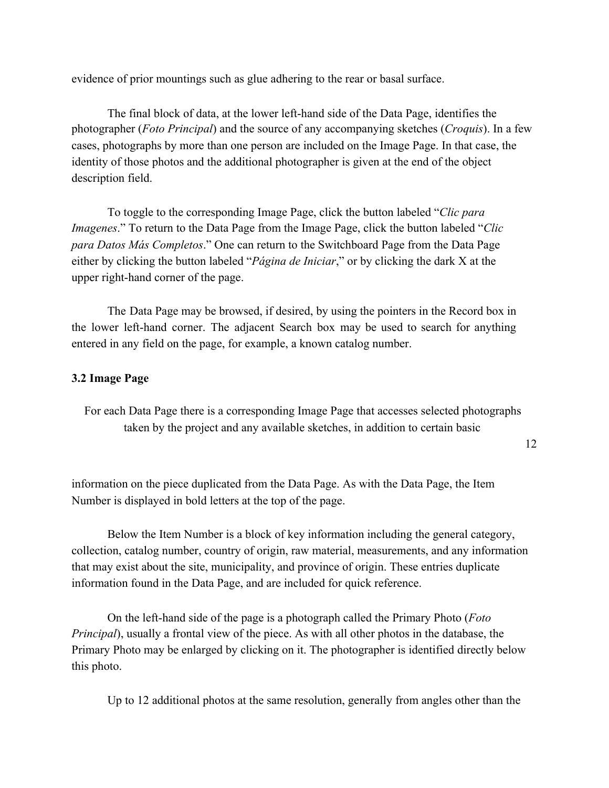evidence of prior mountings such as glue adhering to the rear or basal surface.

The final block of data, at the lower left-hand side of the Data Page, identifies the photographer (*Foto Principal*) and the source of any accompanying sketches (*Croquis*). In a few cases, photographs by more than one person are included on the Image Page. In that case, the identity of those photos and the additional photographer is given at the end of the object description field.

To toggle to the corresponding Image Page, click the button labeled "*Clic para Imagenes*." To return to the Data Page from the Image Page, click the button labeled "*Clic para Datos Más Completos*." One can return to the Switchboard Page from the Data Page either by clicking the button labeled "*Página de Iniciar*," or by clicking the dark X at the upper right-hand corner of the page.

The Data Page may be browsed, if desired, by using the pointers in the Record box in the lower left-hand corner. The adjacent Search box may be used to search for anything entered in any field on the page, for example, a known catalog number.

#### **3.2 Image Page**

For each Data Page there is a corresponding Image Page that accesses selected photographs taken by the project and any available sketches, in addition to certain basic

12

information on the piece duplicated from the Data Page. As with the Data Page, the Item Number is displayed in bold letters at the top of the page.

Below the Item Number is a block of key information including the general category, collection, catalog number, country of origin, raw material, measurements, and any information that may exist about the site, municipality, and province of origin. These entries duplicate information found in the Data Page, and are included for quick reference.

On the left-hand side of the page is a photograph called the Primary Photo (*Foto Principal*), usually a frontal view of the piece. As with all other photos in the database, the Primary Photo may be enlarged by clicking on it. The photographer is identified directly below this photo.

Up to 12 additional photos at the same resolution, generally from angles other than the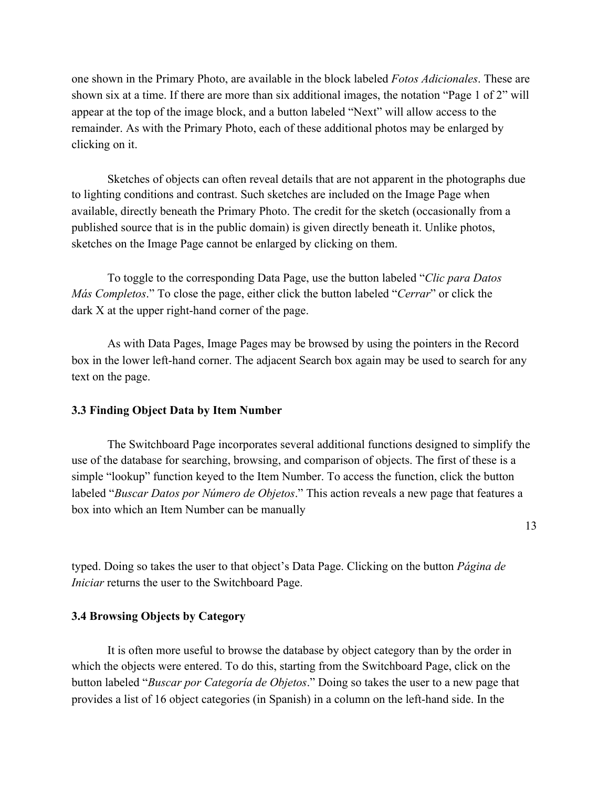one shown in the Primary Photo, are available in the block labeled *Fotos Adicionales*. These are shown six at a time. If there are more than six additional images, the notation "Page 1 of 2" will appear at the top of the image block, and a button labeled "Next" will allow access to the remainder. As with the Primary Photo, each of these additional photos may be enlarged by clicking on it.

Sketches of objects can often reveal details that are not apparent in the photographs due to lighting conditions and contrast. Such sketches are included on the Image Page when available, directly beneath the Primary Photo. The credit for the sketch (occasionally from a published source that is in the public domain) is given directly beneath it. Unlike photos, sketches on the Image Page cannot be enlarged by clicking on them.

To toggle to the corresponding Data Page, use the button labeled "*Clic para Datos Más Completos*." To close the page, either click the button labeled "*Cerrar*" or click the dark X at the upper right-hand corner of the page.

As with Data Pages, Image Pages may be browsed by using the pointers in the Record box in the lower left-hand corner. The adjacent Search box again may be used to search for any text on the page.

#### **3.3 Finding Object Data by Item Number**

The Switchboard Page incorporates several additional functions designed to simplify the use of the database for searching, browsing, and comparison of objects. The first of these is a simple "lookup" function keyed to the Item Number. To access the function, click the button labeled "*Buscar Datos por Número de Objetos*." This action reveals a new page that features a box into which an Item Number can be manually

13

typed. Doing so takes the user to that object's Data Page. Clicking on the button *Página de Iniciar* returns the user to the Switchboard Page.

### **3.4 Browsing Objects by Category**

It is often more useful to browse the database by object category than by the order in which the objects were entered. To do this, starting from the Switchboard Page, click on the button labeled "*Buscar por Categoría de Objetos*." Doing so takes the user to a new page that provides a list of 16 object categories (in Spanish) in a column on the left-hand side. In the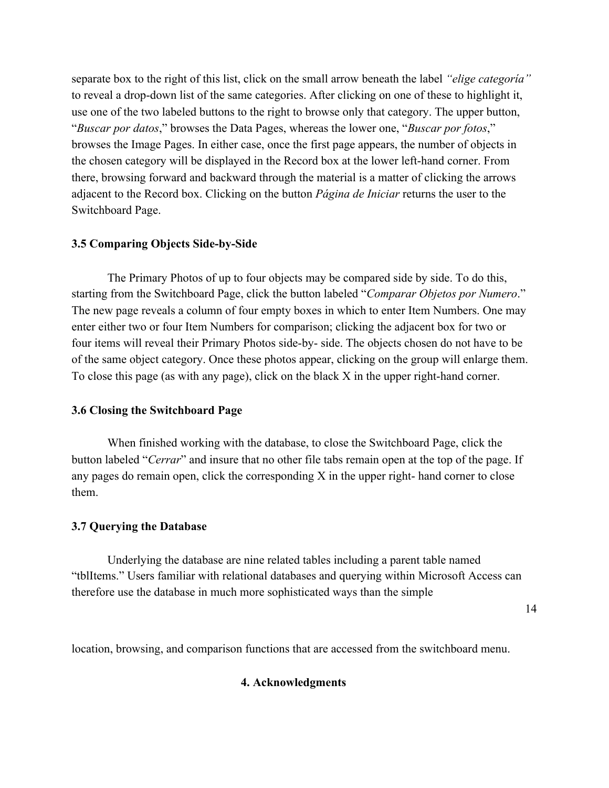separate box to the right of this list, click on the small arrow beneath the label *"elige categoría"* to reveal a drop-down list of the same categories. After clicking on one of these to highlight it, use one of the two labeled buttons to the right to browse only that category. The upper button, "*Buscar por datos*," browses the Data Pages, whereas the lower one, "*Buscar por fotos*," browses the Image Pages. In either case, once the first page appears, the number of objects in the chosen category will be displayed in the Record box at the lower left-hand corner. From there, browsing forward and backward through the material is a matter of clicking the arrows adjacent to the Record box. Clicking on the button *Página de Iniciar* returns the user to the Switchboard Page.

# **3.5 Comparing Objects Side-by-Side**

The Primary Photos of up to four objects may be compared side by side. To do this, starting from the Switchboard Page, click the button labeled "*Comparar Objetos por Numero*." The new page reveals a column of four empty boxes in which to enter Item Numbers. One may enter either two or four Item Numbers for comparison; clicking the adjacent box for two or four items will reveal their Primary Photos side-by- side. The objects chosen do not have to be of the same object category. Once these photos appear, clicking on the group will enlarge them. To close this page (as with any page), click on the black X in the upper right-hand corner.

#### **3.6 Closing the Switchboard Page**

When finished working with the database, to close the Switchboard Page, click the button labeled "*Cerrar*" and insure that no other file tabs remain open at the top of the page. If any pages do remain open, click the corresponding X in the upper right- hand corner to close them.

#### **3.7 Querying the Database**

Underlying the database are nine related tables including a parent table named "tblItems." Users familiar with relational databases and querying within Microsoft Access can therefore use the database in much more sophisticated ways than the simple

14

location, browsing, and comparison functions that are accessed from the switchboard menu.

#### **4. Acknowledgments**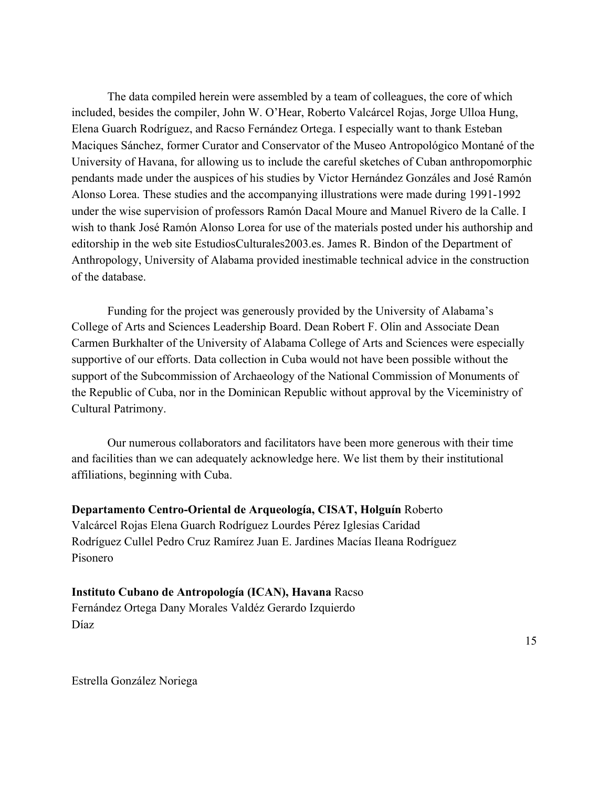The data compiled herein were assembled by a team of colleagues, the core of which included, besides the compiler, John W. O'Hear, Roberto Valcárcel Rojas, Jorge Ulloa Hung, Elena Guarch Rodríguez, and Racso Fernández Ortega. I especially want to thank Esteban Maciques Sánchez, former Curator and Conservator of the Museo Antropológico Montané of the University of Havana, for allowing us to include the careful sketches of Cuban anthropomorphic pendants made under the auspices of his studies by Victor Hernández Gonzáles and José Ramón Alonso Lorea. These studies and the accompanying illustrations were made during 1991-1992 under the wise supervision of professors Ramón Dacal Moure and Manuel Rivero de la Calle. I wish to thank José Ramón Alonso Lorea for use of the materials posted under his authorship and editorship in the web site EstudiosCulturales2003.es. James R. Bindon of the Department of Anthropology, University of Alabama provided inestimable technical advice in the construction of the database.

Funding for the project was generously provided by the University of Alabama's College of Arts and Sciences Leadership Board. Dean Robert F. Olin and Associate Dean Carmen Burkhalter of the University of Alabama College of Arts and Sciences were especially supportive of our efforts. Data collection in Cuba would not have been possible without the support of the Subcommission of Archaeology of the National Commission of Monuments of the Republic of Cuba, nor in the Dominican Republic without approval by the Viceministry of Cultural Patrimony.

Our numerous collaborators and facilitators have been more generous with their time and facilities than we can adequately acknowledge here. We list them by their institutional affiliations, beginning with Cuba.

**Departamento Centro-Oriental de Arqueología, CISAT, Holguín** Roberto Valcárcel Rojas Elena Guarch Rodríguez Lourdes Pérez Iglesias Caridad Rodríguez Cullel Pedro Cruz Ramírez Juan E. Jardines Macías Ileana Rodríguez Pisonero

**Instituto Cubano de Antropología (ICAN), Havana** Racso Fernández Ortega Dany Morales Valdéz Gerardo Izquierdo Díaz

15

Estrella González Noriega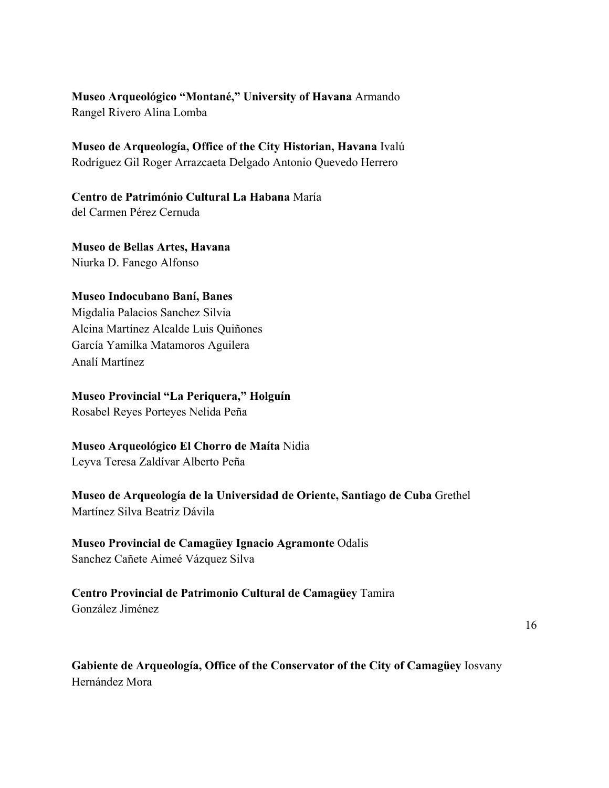**Museo Arqueológico "Montané," University of Havana** Armando Rangel Rivero Alina Lomba

**Museo de Arqueología, Office of the City Historian, Havana** Ivalú Rodríguez Gil Roger Arrazcaeta Delgado Antonio Quevedo Herrero

**Centro de Património Cultural La Habana** María del Carmen Pérez Cernuda

**Museo de Bellas Artes, Havana** Niurka D. Fanego Alfonso

#### **Museo Indocubano Baní, Banes**

Migdalia Palacios Sanchez Silvia Alcina Martínez Alcalde Luis Quiñones García Yamilka Matamoros Aguilera Analí Martínez

### **Museo Provincial "La Periquera," Holguín**

Rosabel Reyes Porteyes Nelida Peña

# **Museo Arqueológico El Chorro de Maíta** Nidia

Leyva Teresa Zaldívar Alberto Peña

# **Museo de Arqueología de la Universidad de Oriente, Santiago de Cuba** Grethel Martínez Silva Beatriz Dávila

# **Museo Provincial de Camagüey Ignacio Agramonte** Odalis Sanchez Cañete Aimeé Vázquez Silva

# **Centro Provincial de Patrimonio Cultural de Camagüey** Tamira González Jiménez

16

**Gabiente de Arqueología, Office of the Conservator of the City of Camagüey** Iosvany Hernández Mora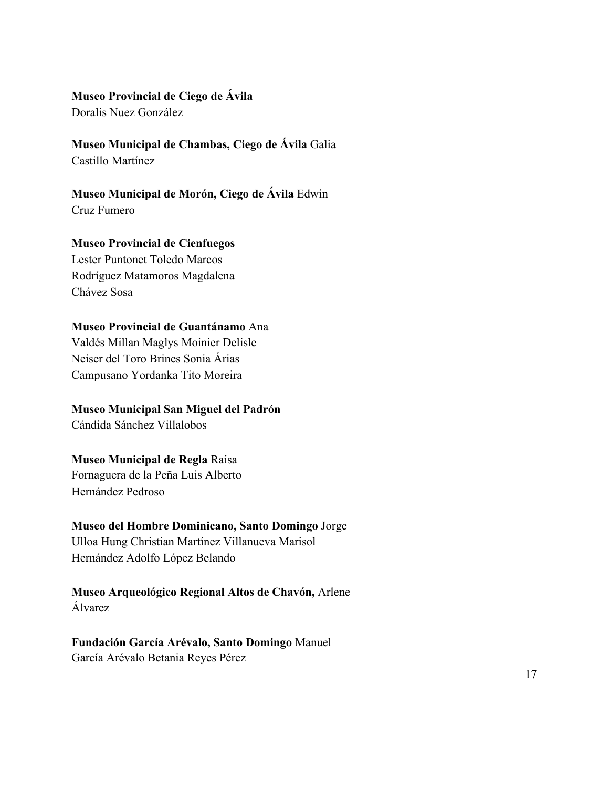# **Museo Provincial de Ciego de Ávila**

Doralis Nuez González

# **Museo Municipal de Chambas, Ciego de Ávila** Galia Castillo Martínez

# **Museo Municipal de Morón, Ciego de Ávila** Edwin Cruz Fumero

# **Museo Provincial de Cienfuegos**

Lester Puntonet Toledo Marcos Rodríguez Matamoros Magdalena Chávez Sosa

# **Museo Provincial de Guantánamo** Ana

Valdés Millan Maglys Moinier Delisle Neiser del Toro Brines Sonia Árias Campusano Yordanka Tito Moreira

# **Museo Municipal San Miguel del Padrón**

Cándida Sánchez Villalobos

# **Museo Municipal de Regla** Raisa

Fornaguera de la Peña Luis Alberto Hernández Pedroso

# **Museo del Hombre Dominicano, Santo Domingo** Jorge

Ulloa Hung Christian Martínez Villanueva Marisol Hernández Adolfo López Belando

**Museo Arqueológico Regional Altos de Chavón,** Arlene Álvarez

**Fundación García Arévalo, Santo Domingo** Manuel García Arévalo Betania Reyes Pérez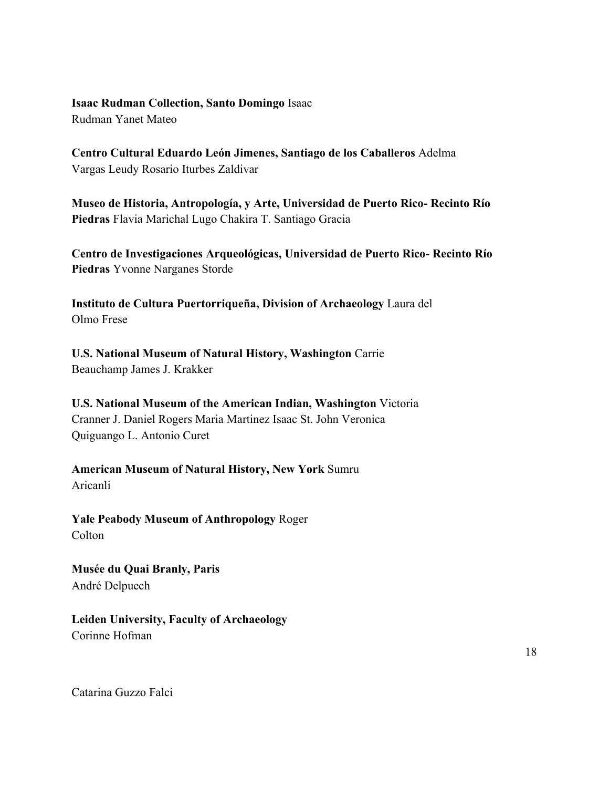**Isaac Rudman Collection, Santo Domingo** Isaac Rudman Yanet Mateo

**Centro Cultural Eduardo León Jimenes, Santiago de los Caballeros** Adelma Vargas Leudy Rosario Iturbes Zaldivar

**Museo de Historia, Antropología, y Arte, Universidad de Puerto Rico- Recinto Río Piedras** Flavia Marichal Lugo Chakira T. Santiago Gracia

**Centro de Investigaciones Arqueológicas, Universidad de Puerto Rico- Recinto Río Piedras** Yvonne Narganes Storde

**Instituto de Cultura Puertorriqueña, Division of Archaeology** Laura del Olmo Frese

**U.S. National Museum of Natural History, Washington** Carrie Beauchamp James J. Krakker

**U.S. National Museum of the American Indian, Washington** Victoria Cranner J. Daniel Rogers Maria Martinez Isaac St. John Veronica Quiguango L. Antonio Curet

**American Museum of Natural History, New York** Sumru Aricanli

**Yale Peabody Museum of Anthropology** Roger **Colton** 

**Musée du Quai Branly, Paris** André Delpuech

**Leiden University, Faculty of Archaeology** Corinne Hofman

18

Catarina Guzzo Falci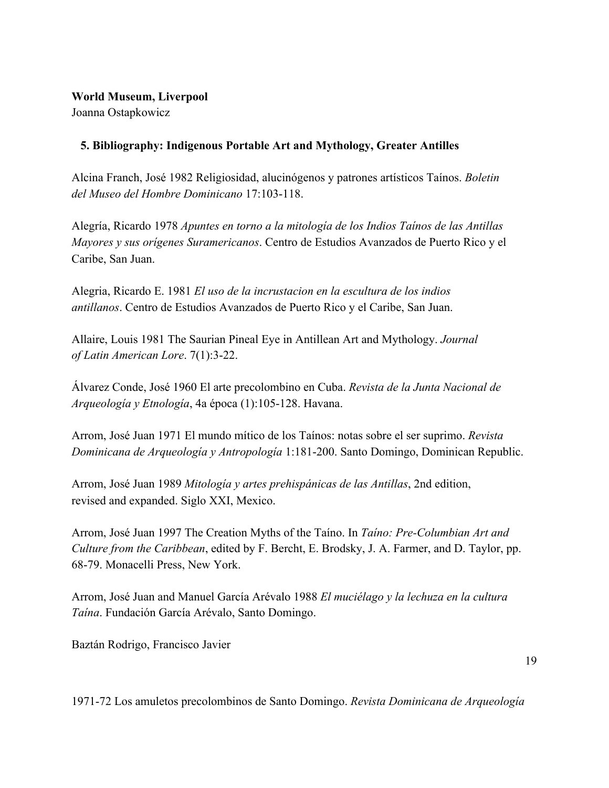# **World Museum, Liverpool**

Joanna Ostapkowicz

# **5. Bibliography: Indigenous Portable Art and Mythology, Greater Antilles**

Alcina Franch, José 1982 Religiosidad, alucinógenos y patrones artísticos Taínos. *Boletin del Museo del Hombre Dominicano* 17:103-118.

Alegría, Ricardo 1978 *Apuntes en torno a la mitología de los Indios Taínos de las Antillas Mayores y sus orígenes Suramericanos*. Centro de Estudios Avanzados de Puerto Rico y el Caribe, San Juan.

Alegria, Ricardo E. 1981 *El uso de la incrustacion en la escultura de los indios antillanos*. Centro de Estudios Avanzados de Puerto Rico y el Caribe, San Juan.

Allaire, Louis 1981 The Saurian Pineal Eye in Antillean Art and Mythology. *Journal of Latin American Lore*. 7(1):3-22.

Álvarez Conde, José 1960 El arte precolombino en Cuba. *Revista de la Junta Nacional de Arqueología y Etnología*, 4a época (1):105-128. Havana.

Arrom, José Juan 1971 El mundo mítico de los Taínos: notas sobre el ser suprimo. *Revista Dominicana de Arqueología y Antropología* 1:181-200. Santo Domingo, Dominican Republic.

Arrom, José Juan 1989 *Mitología y artes prehispánicas de las Antillas*, 2nd edition, revised and expanded. Siglo XXI, Mexico.

Arrom, José Juan 1997 The Creation Myths of the Taíno. In *Taíno: Pre-Columbian Art and Culture from the Caribbean*, edited by F. Bercht, E. Brodsky, J. A. Farmer, and D. Taylor, pp. 68-79. Monacelli Press, New York.

Arrom, José Juan and Manuel García Arévalo 1988 *El muciélago y la lechuza en la cultura Taína*. Fundación García Arévalo, Santo Domingo.

Baztán Rodrigo, Francisco Javier

1971-72 Los amuletos precolombinos de Santo Domingo. *Revista Dominicana de Arqueología*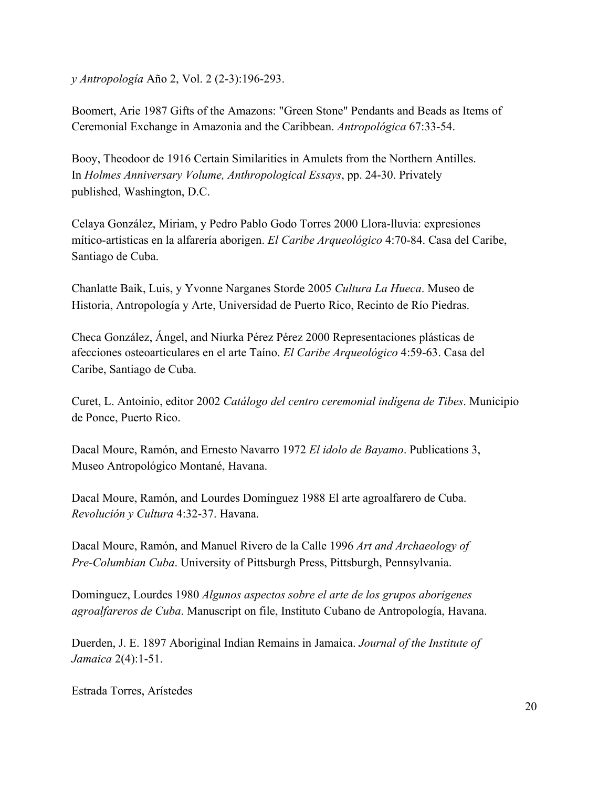*y Antropología* Año 2, Vol. 2 (2-3):196-293.

Boomert, Arie 1987 Gifts of the Amazons: "Green Stone" Pendants and Beads as Items of Ceremonial Exchange in Amazonia and the Caribbean. *Antropológica* 67:33-54.

Booy, Theodoor de 1916 Certain Similarities in Amulets from the Northern Antilles. In *Holmes Anniversary Volume, Anthropological Essays*, pp. 24-30. Privately published, Washington, D.C.

Celaya González, Miriam, y Pedro Pablo Godo Torres 2000 Llora-lluvia: expresiones mítico-artísticas en la alfarería aborigen. *El Caribe Arqueológico* 4:70-84. Casa del Caribe, Santiago de Cuba.

Chanlatte Baik, Luis, y Yvonne Narganes Storde 2005 *Cultura La Hueca*. Museo de Historia, Antropología y Arte, Universidad de Puerto Rico, Recinto de Río Piedras.

Checa González, Ángel, and Niurka Pérez Pérez 2000 Representaciones plásticas de afecciones osteoarticulares en el arte Taíno. *El Caribe Arqueológico* 4:59-63. Casa del Caribe, Santiago de Cuba.

Curet, L. Antoinio, editor 2002 *Catálogo del centro ceremonial indígena de Tibes*. Municipio de Ponce, Puerto Rico.

Dacal Moure, Ramón, and Ernesto Navarro 1972 *El idolo de Bayamo*. Publications 3, Museo Antropológico Montané, Havana.

Dacal Moure, Ramón, and Lourdes Domínguez 1988 El arte agroalfarero de Cuba. *Revolución y Cultura* 4:32-37. Havana.

Dacal Moure, Ramón, and Manuel Rivero de la Calle 1996 *Art and Archaeology of Pre-Columbian Cuba*. University of Pittsburgh Press, Pittsburgh, Pennsylvania.

Dominguez, Lourdes 1980 *Algunos aspectos sobre el arte de los grupos aborigenes agroalfareros de Cuba*. Manuscript on file, Instituto Cubano de Antropología, Havana.

Duerden, J. E. 1897 Aboriginal Indian Remains in Jamaica. *Journal of the Institute of Jamaica* 2(4):1-51.

Estrada Torres, Arístedes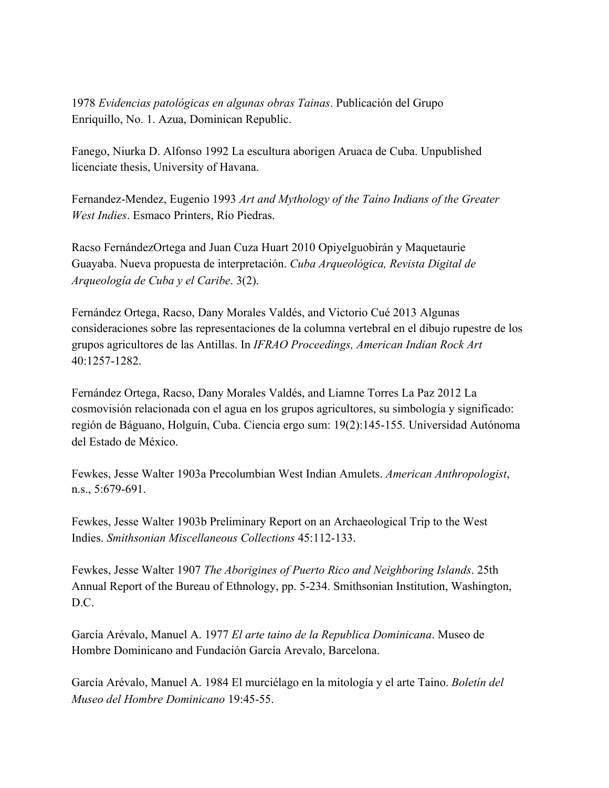1978 *Evidencias patológicas en algunas obras Tainas*. Publicación del Grupo Enriquillo, No. 1. Azua, Dominican Republic.

Fanego, Niurka D. Alfonso 1992 La escultura aborigen Aruaca de Cuba. Unpublished licenciate thesis, University of Havana.

Fernandez-Mendez, Eugenio 1993 *Art and Mythology of the Taíno Indians of the Greater West Indies*. Esmaco Printers, Río Piedras.

Racso FernándezOrtega and Juan Cuza Huart 2010 Opiyelguobirán y Maquetaurie Guayaba. Nueva propuesta de interpretación. *Cuba Arqueológica, Revista Digital de Arqueología de Cuba y el Caribe*. 3(2).

Fernández Ortega, Racso, Dany Morales Valdés, and Victorio Cué 2013 Algunas consideraciones sobre las representaciones de la columna vertebral en el dibujo rupestre de los grupos agricultores de las Antillas. In *IFRAO Proceedings, American Indian Rock Art* 40:1257-1282.

Fernández Ortega, Racso, Dany Morales Valdés, and Liamne Torres La Paz 2012 La cosmovisión relacionada con el agua en los grupos agricultores, su simbología y significado: región de Báguano, Holguín, Cuba. Ciencia ergo sum: 19(2):145-155. Universidad Autónoma del Estado de México.

Fewkes, Jesse Walter 1903a Precolumbian West Indian Amulets. *American Anthropologist*, n.s., 5:679-691.

Fewkes, Jesse Walter 1903b Preliminary Report on an Archaeological Trip to the West Indies. *Smithsonian Miscellaneous Collections* 45:112-133.

Fewkes, Jesse Walter 1907 *The Aborigines of Puerto Rico and Neighboring Islands*. 25th Annual Report of the Bureau of Ethnology, pp. 5-234. Smithsonian Institution, Washington, D.C.

García Arévalo, Manuel A. 1977 *El arte taino de la Republica Dominicana*. Museo de Hombre Dominicano and Fundación García Arevalo, Barcelona.

García Arévalo, Manuel A. 1984 El murciélago en la mitología y el arte Taino. *Boletín del Museo del Hombre Dominicano* 19:45-55.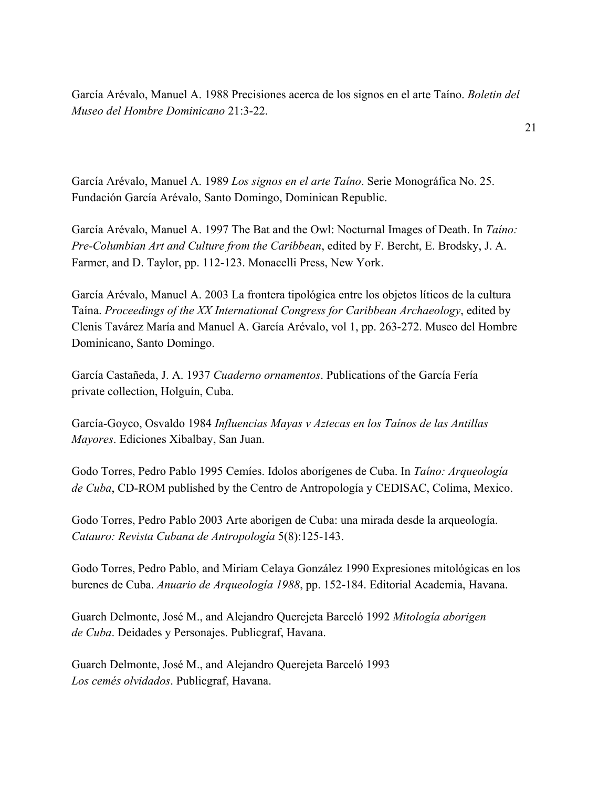García Arévalo, Manuel A. 1988 Precisiones acerca de los signos en el arte Taíno. *Boletin del Museo del Hombre Dominicano* 21:3-22.

García Arévalo, Manuel A. 1989 *Los signos en el arte Taíno*. Serie Monográfica No. 25. Fundación García Arévalo, Santo Domingo, Dominican Republic.

García Arévalo, Manuel A. 1997 The Bat and the Owl: Nocturnal Images of Death. In *Taíno: Pre-Columbian Art and Culture from the Caribbean*, edited by F. Bercht, E. Brodsky, J. A. Farmer, and D. Taylor, pp. 112-123. Monacelli Press, New York.

García Arévalo, Manuel A. 2003 La frontera tipológica entre los objetos líticos de la cultura Taína. *Proceedings of the XX International Congress for Caribbean Archaeology*, edited by Clenis Tavárez María and Manuel A. García Arévalo, vol 1, pp. 263-272. Museo del Hombre Dominicano, Santo Domingo.

García Castañeda, J. A. 1937 *Cuaderno ornamentos*. Publications of the García Fería private collection, Holguín, Cuba.

García-Goyco, Osvaldo 1984 *Influencias Mayas v Aztecas en los Taínos de las Antillas Mayores*. Ediciones Xibalbay, San Juan.

Godo Torres, Pedro Pablo 1995 Cemíes. Idolos aborígenes de Cuba. In *Taíno: Arqueología de Cuba*, CD-ROM published by the Centro de Antropología y CEDISAC, Colima, Mexico.

Godo Torres, Pedro Pablo 2003 Arte aborigen de Cuba: una mirada desde la arqueología. *Catauro: Revista Cubana de Antropología* 5(8):125-143.

Godo Torres, Pedro Pablo, and Miriam Celaya González 1990 Expresiones mitológicas en los burenes de Cuba. *Anuario de Arqueología 1988*, pp. 152-184. Editorial Academia, Havana.

Guarch Delmonte, José M., and Alejandro Querejeta Barceló 1992 *Mitología aborigen de Cuba*. Deidades y Personajes. Publicgraf, Havana.

Guarch Delmonte, José M., and Alejandro Querejeta Barceló 1993 *Los cemés olvidados*. Publicgraf, Havana.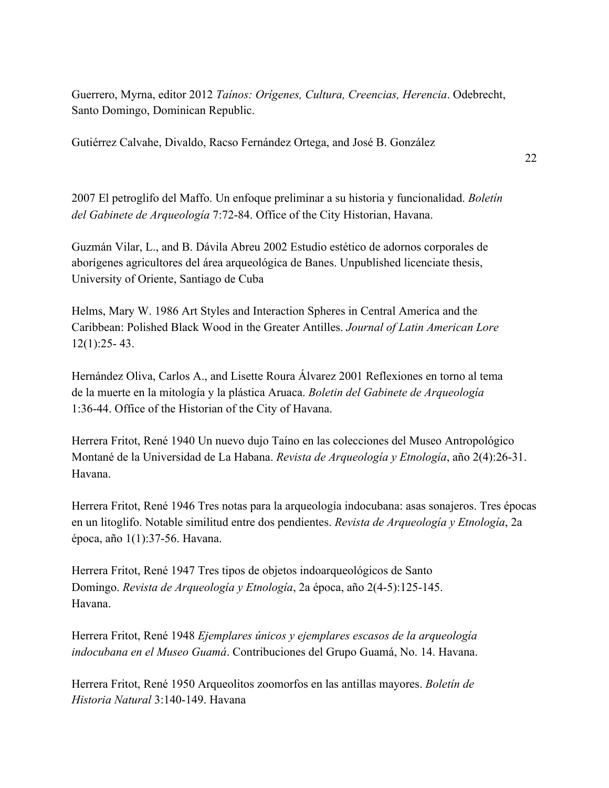Guerrero, Myrna, editor 2012 *Taínos: Orígenes, Cultura, Creencias, Herencia*. Odebrecht, Santo Domingo, Dominican Republic.

Gutiérrez Calvahe, Divaldo, Racso Fernández Ortega, and José B. González

2007 El petroglifo del Maffo. Un enfoque preliminar a su historia y funcionalidad. *Boletín del Gabinete de Arqueología* 7:72-84. Office of the City Historian, Havana.

Guzmán Vilar, L., and B. Dávila Abreu 2002 Estudio estético de adornos corporales de aborígenes agricultores del área arqueológica de Banes. Unpublished licenciate thesis, University of Oriente, Santiago de Cuba

Helms, Mary W. 1986 Art Styles and Interaction Spheres in Central America and the Caribbean: Polished Black Wood in the Greater Antilles. *Journal of Latin American Lore* 12(1):25- 43.

Hernández Oliva, Carlos A., and Lisette Roura Álvarez 2001 Reflexiones en torno al tema de la muerte en la mitología y la plástica Aruaca. *Boletin del Gabinete de Arqueología* 1:36-44. Office of the Historian of the City of Havana.

Herrera Fritot, René 1940 Un nuevo dujo Taíno en las colecciones del Museo Antropológico Montané de la Universidad de La Habana. *Revista de Arqueología y Etnología*, año 2(4):26-31. Havana.

Herrera Fritot, René 1946 Tres notas para la arqueología indocubana: asas sonajeros. Tres épocas en un litoglifo. Notable similitud entre dos pendientes. *Revista de Arqueología y Etnología*, 2a época, año 1(1):37-56. Havana.

Herrera Fritot, René 1947 Tres tipos de objetos indoarqueológicos de Santo Domingo. *Revista de Arqueología y Etnología*, 2a época, año 2(4-5):125-145. Havana.

Herrera Fritot, René 1948 *Ejemplares únicos y ejemplares escasos de la arqueología indocubana en el Museo Guamá*. Contribuciones del Grupo Guamá, No. 14. Havana.

Herrera Fritot, René 1950 Arqueolitos zoomorfos en las antillas mayores. *Boletín de Historia Natural* 3:140-149. Havana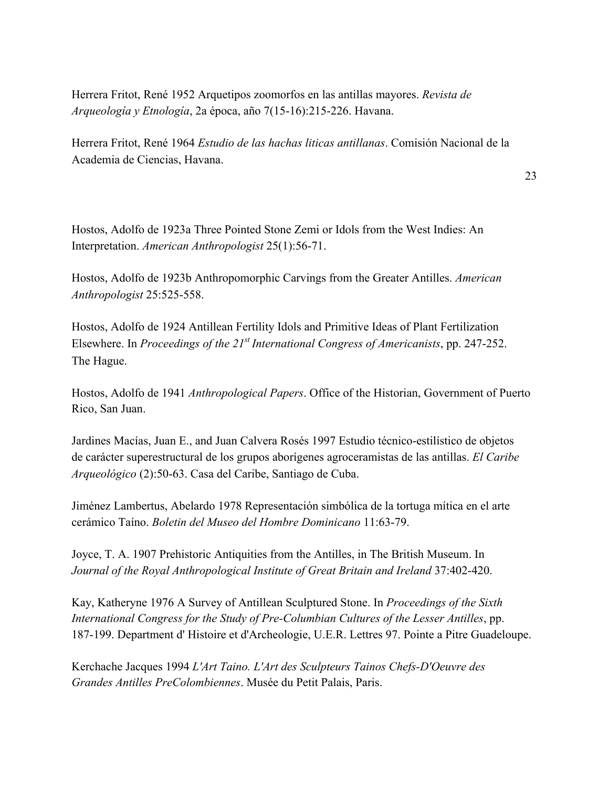Herrera Fritot, René 1952 Arquetipos zoomorfos en las antillas mayores. *Revista de Arqueología y Etnología*, 2a época, año 7(15-16):215-226. Havana.

Herrera Fritot, René 1964 *Estudio de las hachas liticas antillanas*. Comisión Nacional de la Academia de Ciencias, Havana.

23

Hostos, Adolfo de 1923a Three Pointed Stone Zemi or Idols from the West Indies: An Interpretation. *American Anthropologist* 25(1):56-71.

Hostos, Adolfo de 1923b Anthropomorphic Carvings from the Greater Antilles. *American Anthropologist* 25:525-558.

Hostos, Adolfo de 1924 Antillean Fertility Idols and Primitive Ideas of Plant Fertilization Elsewhere. In *Proceedings of the 21<sup>st</sup> International Congress of Americanists*, pp. 247-252. The Hague.

Hostos, Adolfo de 1941 *Anthropological Papers*. Office of the Historian, Government of Puerto Rico, San Juan.

Jardines Macías, Juan E., and Juan Calvera Rosés 1997 Estudio técnico-estilístico de objetos de carácter superestructural de los grupos aborígenes agroceramistas de las antillas. *El Caribe Arqueológico* (2):50-63. Casa del Caribe, Santiago de Cuba.

Jiménez Lambertus, Abelardo 1978 Representación simbólica de la tortuga mítica en el arte cerámico Taíno. *Boletin del Museo del Hombre Dominicano* 11:63-79.

Joyce, T. A. 1907 Prehistoric Antiquities from the Antilles, in The British Museum. In *Journal of the Royal Anthropological Institute of Great Britain and Ireland* 37:402-420.

Kay, Katheryne 1976 A Survey of Antillean Sculptured Stone. In *Proceedings of the Sixth International Congress for the Study of Pre-Columbian Cultures of the Lesser Antilles*, pp. 187-199. Department d' Histoire et d'Archeologie, U.E.R. Lettres 97. Pointe a Pitre Guadeloupe.

Kerchache Jacques 1994 *L'Art Taino. L'Art des Sculpteurs Tainos Chefs-D'Oeuvre des Grandes Antilles PreColombiennes*. Musée du Petit Palais, Paris.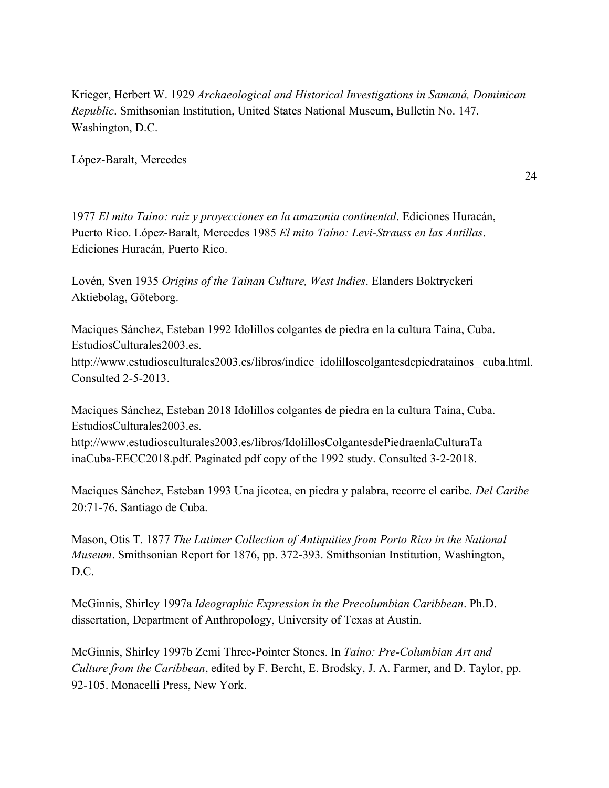Krieger, Herbert W. 1929 *Archaeological and Historical Investigations in Samaná, Dominican Republic*. Smithsonian Institution, United States National Museum, Bulletin No. 147. Washington, D.C.

López-Baralt, Mercedes

24

1977 *El mito Taíno: raíz y proyecciones en la amazonia continental*. Ediciones Huracán, Puerto Rico. López-Baralt, Mercedes 1985 *El mito Taíno: Levi-Strauss en las Antillas*. Ediciones Huracán, Puerto Rico.

Lovén, Sven 1935 *Origins of the Tainan Culture, West Indies*. Elanders Boktryckeri Aktiebolag, Göteborg.

Maciques Sánchez, Esteban 1992 Idolillos colgantes de piedra en la cultura Taína, Cuba. EstudiosCulturales2003.es.

http://www.estudiosculturales2003.es/libros/indice\_idolilloscolgantesdepiedratainos\_ cuba.html. Consulted 2-5-2013.

Maciques Sánchez, Esteban 2018 Idolillos colgantes de piedra en la cultura Taína, Cuba. EstudiosCulturales2003.es.

http://www.estudiosculturales2003.es/libros/IdolillosColgantesdePiedraenlaCulturaTa inaCuba-EECC2018.pdf. Paginated pdf copy of the 1992 study. Consulted 3-2-2018.

Maciques Sánchez, Esteban 1993 Una jicotea, en piedra y palabra, recorre el caribe. *Del Caribe* 20:71-76. Santiago de Cuba.

Mason, Otis T. 1877 *The Latimer Collection of Antiquities from Porto Rico in the National Museum*. Smithsonian Report for 1876, pp. 372-393. Smithsonian Institution, Washington, D.C.

McGinnis, Shirley 1997a *Ideographic Expression in the Precolumbian Caribbean*. Ph.D. dissertation, Department of Anthropology, University of Texas at Austin.

McGinnis, Shirley 1997b Zemi Three-Pointer Stones. In *Taíno: Pre-Columbian Art and Culture from the Caribbean*, edited by F. Bercht, E. Brodsky, J. A. Farmer, and D. Taylor, pp. 92-105. Monacelli Press, New York.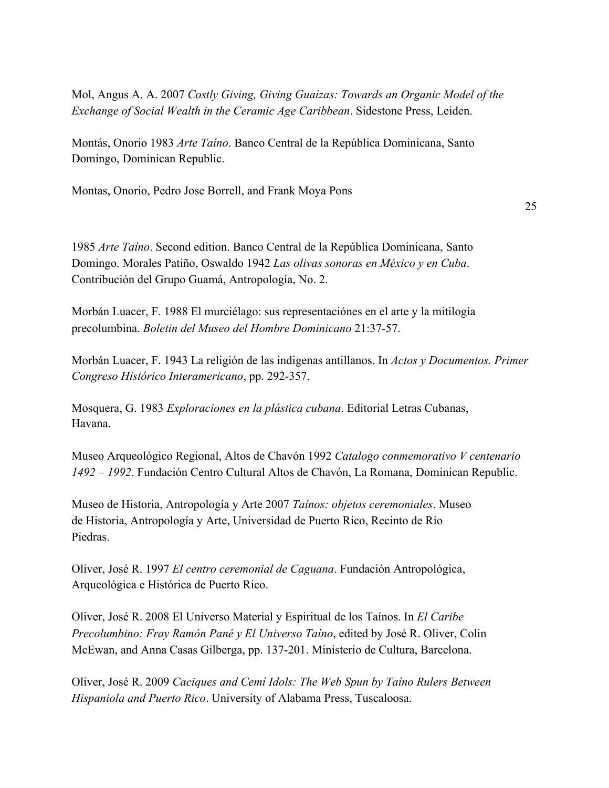Mol, Angus A. A. 2007 *Costly Giving, Giving Guaízas: Towards an Organic Model of the Exchange of Social Wealth in the Ceramic Age Caribbean*. Sidestone Press, Leiden.

Montás, Onorio 1983 *Arte Taíno*. Banco Central de la República Dominicana, Santo Domingo, Dominican Republic.

Montas, Onorio, Pedro Jose Borrell, and Frank Moya Pons

25

1985 *Arte Taíno*. Second edition. Banco Central de la República Dominicana, Santo Domingo. Morales Patiño, Oswaldo 1942 *Las olivas sonoras en México y en Cuba*. Contribución del Grupo Guamá, Antropología, No. 2.

Morbán Luacer, F. 1988 El murciélago: sus representaciónes en el arte y la mitilogía precolumbina. *Boletin del Museo del Hombre Dominicano* 21:37-57.

Morbán Luacer, F. 1943 La religión de las indigenas antillanos. In *Actos y Documentos. Primer Congreso Histórico Interamericano*, pp. 292-357.

Mosquera, G. 1983 *Exploraciones en la plástica cubana*. Editorial Letras Cubanas, Havana.

Museo Arqueológico Regional, Altos de Chavón 1992 *Catalogo conmemorativo V centenario 1492 – 1992*. Fundación Centro Cultural Altos de Chavón, La Romana, Dominican Republic.

Museo de Historia, Antropología y Arte 2007 *Taínos: objetos ceremoniales*. Museo de Historia, Antropología y Arte, Universidad de Puerto Rico, Recinto de Río Piedras.

Oliver, José R. 1997 *El centro ceremonial de Caguana*. Fundación Antropológica, Arqueológica e Histórica de Puerto Rico.

Oliver, José R. 2008 El Universo Material y Espiritual de los Taínos. In *El Caribe Precolumbino: Fray Ramón Pané y El Universo Taíno*, edited by José R. Oliver, Colin McEwan, and Anna Casas Gilberga, pp. 137-201. Ministerio de Cultura, Barcelona.

Oliver, José R. 2009 *Caciques and Cemí Idols: The Web Spun by Taíno Rulers Between Hispaniola and Puerto Rico*. University of Alabama Press, Tuscaloosa.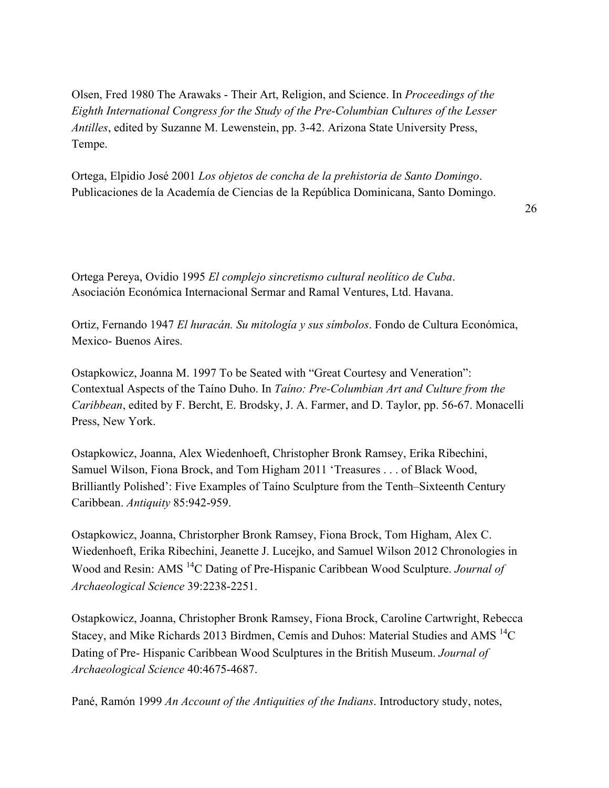Olsen, Fred 1980 The Arawaks - Their Art, Religion, and Science. In *Proceedings of the Eighth International Congress for the Study of the Pre-Columbian Cultures of the Lesser Antilles*, edited by Suzanne M. Lewenstein, pp. 3-42. Arizona State University Press, Tempe.

Ortega, Elpidio José 2001 *Los objetos de concha de la prehistoria de Santo Domingo*. Publicaciones de la Academía de Ciencias de la República Dominicana, Santo Domingo.

26

Ortega Pereya, Ovidio 1995 *El complejo sincretismo cultural neolítico de Cuba*. Asociación Económica Internacional Sermar and Ramal Ventures, Ltd. Havana.

Ortiz, Fernando 1947 *El huracán. Su mitología y sus símbolos*. Fondo de Cultura Económica, Mexico- Buenos Aires.

Ostapkowicz, Joanna M. 1997 To be Seated with "Great Courtesy and Veneration": Contextual Aspects of the Taíno Duho. In *Taíno: Pre-Columbian Art and Culture from the Caribbean*, edited by F. Bercht, E. Brodsky, J. A. Farmer, and D. Taylor, pp. 56-67. Monacelli Press, New York.

Ostapkowicz, Joanna, Alex Wiedenhoeft, Christopher Bronk Ramsey, Erika Ribechini, Samuel Wilson, Fiona Brock, and Tom Higham 2011 'Treasures . . . of Black Wood, Brilliantly Polished': Five Examples of Taíno Sculpture from the Tenth–Sixteenth Century Caribbean. *Antiquity* 85:942-959.

Ostapkowicz, Joanna, Christorpher Bronk Ramsey, Fiona Brock, Tom Higham, Alex C. Wiedenhoeft, Erika Ribechini, Jeanette J. Lucejko, and Samuel Wilson 2012 Chronologies in Wood and Resin: AMS <sup>14</sup>C Dating of Pre-Hispanic Caribbean Wood Sculpture. *Journal of Archaeological Science* 39:2238-2251.

Ostapkowicz, Joanna, Christopher Bronk Ramsey, Fiona Brock, Caroline Cartwright, Rebecca Stacey, and Mike Richards 2013 Birdmen, Cemís and Duhos: Material Studies and AMS <sup>14</sup>C Dating of Pre- Hispanic Caribbean Wood Sculptures in the British Museum. *Journal of Archaeological Science* 40:4675-4687.

Pané, Ramón 1999 *An Account of the Antiquities of the Indians*. Introductory study, notes,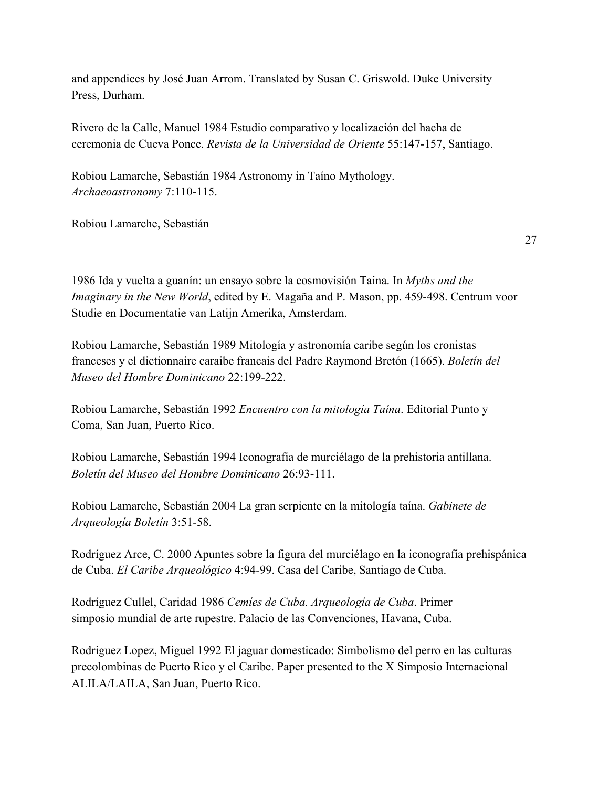and appendices by José Juan Arrom. Translated by Susan C. Griswold. Duke University Press, Durham.

Rivero de la Calle, Manuel 1984 Estudio comparativo y localización del hacha de ceremonia de Cueva Ponce. *Revista de la Universidad de Oriente* 55:147-157, Santiago.

Robiou Lamarche, Sebastián 1984 Astronomy in Taíno Mythology. *Archaeoastronomy* 7:110-115.

Robiou Lamarche, Sebastián

27

1986 Ida y vuelta a guanín: un ensayo sobre la cosmovisión Taina. In *Myths and the Imaginary in the New World*, edited by E. Magaña and P. Mason, pp. 459-498. Centrum voor Studie en Documentatie van Latijn Amerika, Amsterdam.

Robiou Lamarche, Sebastián 1989 Mitología y astronomía caribe según los cronistas franceses y el dictionnaire caraibe francais del Padre Raymond Bretón (1665). *Boletín del Museo del Hombre Dominicano* 22:199-222.

Robiou Lamarche, Sebastián 1992 *Encuentro con la mitología Taína*. Editorial Punto y Coma, San Juan, Puerto Rico.

Robiou Lamarche, Sebastián 1994 Iconografia de murciélago de la prehistoria antillana. *Boletín del Museo del Hombre Dominicano* 26:93-111.

Robiou Lamarche, Sebastián 2004 La gran serpiente en la mitología taína. *Gabinete de Arqueología Boletín* 3:51-58.

Rodríguez Arce, C. 2000 Apuntes sobre la figura del murciélago en la iconografía prehispánica de Cuba. *El Caribe Arqueológico* 4:94-99. Casa del Caribe, Santiago de Cuba.

Rodríguez Cullel, Caridad 1986 *Cemíes de Cuba. Arqueología de Cuba*. Primer simposio mundial de arte rupestre. Palacio de las Convenciones, Havana, Cuba.

Rodriguez Lopez, Miguel 1992 El jaguar domesticado: Simbolismo del perro en las culturas precolombinas de Puerto Rico y el Caribe. Paper presented to the X Simposio Internacional ALILA/LAILA, San Juan, Puerto Rico.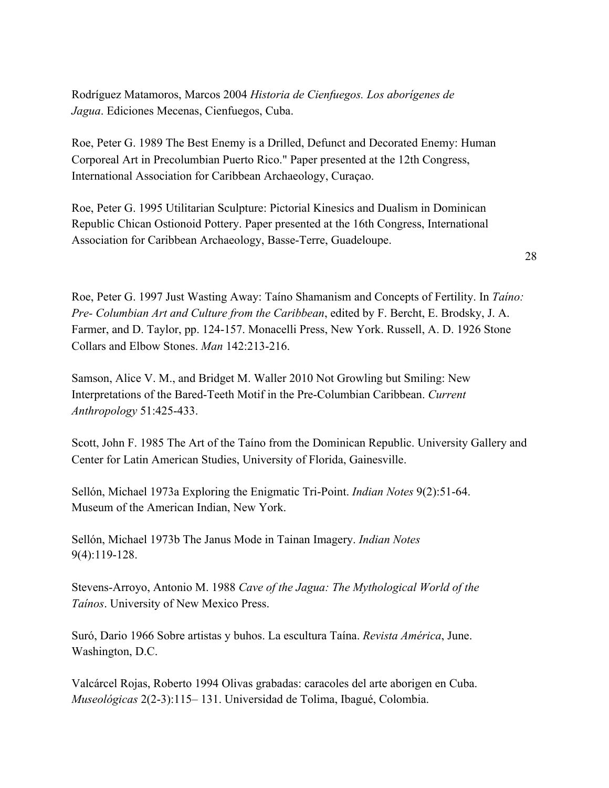Rodríguez Matamoros, Marcos 2004 *Historia de Cienfuegos. Los aborígenes de Jagua*. Ediciones Mecenas, Cienfuegos, Cuba.

Roe, Peter G. 1989 The Best Enemy is a Drilled, Defunct and Decorated Enemy: Human Corporeal Art in Precolumbian Puerto Rico." Paper presented at the 12th Congress, International Association for Caribbean Archaeology, Curaçao.

Roe, Peter G. 1995 Utilitarian Sculpture: Pictorial Kinesics and Dualism in Dominican Republic Chican Ostionoid Pottery. Paper presented at the 16th Congress, International Association for Caribbean Archaeology, Basse-Terre, Guadeloupe.

Roe, Peter G. 1997 Just Wasting Away: Taíno Shamanism and Concepts of Fertility. In *Taíno: Pre- Columbian Art and Culture from the Caribbean*, edited by F. Bercht, E. Brodsky, J. A. Farmer, and D. Taylor, pp. 124-157. Monacelli Press, New York. Russell, A. D. 1926 Stone Collars and Elbow Stones. *Man* 142:213-216.

Samson, Alice V. M., and Bridget M. Waller 2010 Not Growling but Smiling: New Interpretations of the Bared-Teeth Motif in the Pre-Columbian Caribbean. *Current Anthropology* 51:425-433.

Scott, John F. 1985 The Art of the Taíno from the Dominican Republic. University Gallery and Center for Latin American Studies, University of Florida, Gainesville.

Sellón, Michael 1973a Exploring the Enigmatic Tri-Point. *Indian Notes* 9(2):51-64. Museum of the American Indian, New York.

Sellón, Michael 1973b The Janus Mode in Tainan Imagery. *Indian Notes* 9(4):119-128.

Stevens-Arroyo, Antonio M. 1988 *Cave of the Jagua: The Mythological World of the Taínos*. University of New Mexico Press.

Suró, Dario 1966 Sobre artistas y buhos. La escultura Taína. *Revista América*, June. Washington, D.C.

Valcárcel Rojas, Roberto 1994 Olivas grabadas: caracoles del arte aborigen en Cuba. *Museológicas* 2(2-3):115– 131. Universidad de Tolima, Ibagué, Colombia.